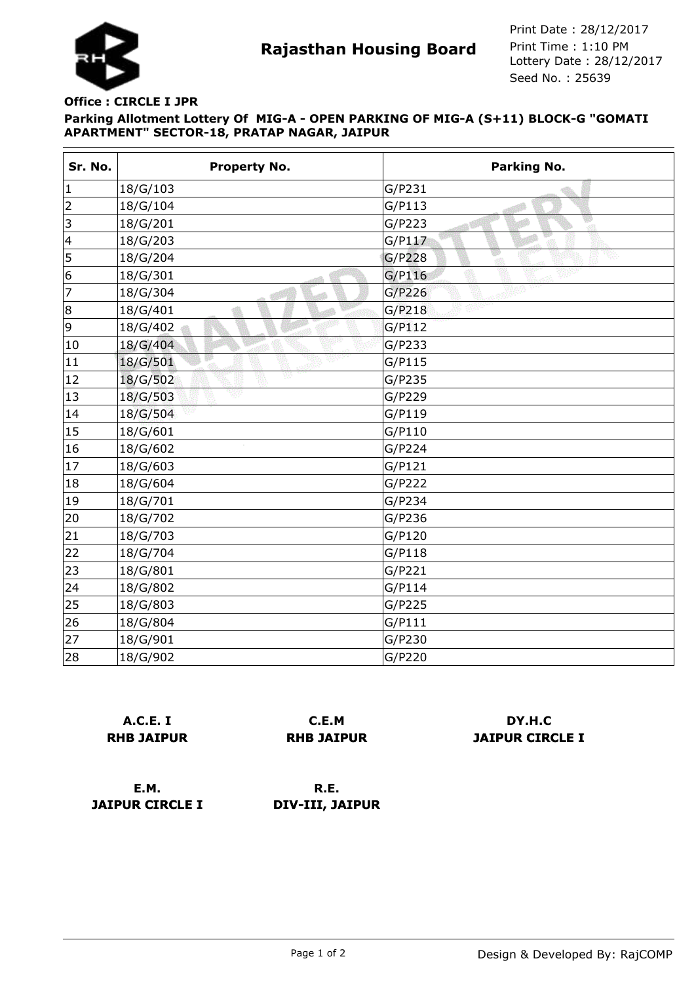

**Rajasthan Housing Board** Print Time : 1:10 PM<br>Lottery Date : 28/12/2017 Seed No. : 25639 Print Date : 28/12/2017 Print Time : 1:10 PM

## **Parking Allotment Lottery Of MIG-A - OPEN PARKING OF MIG-A (S+11) BLOCK-G "GOMATI APARTMENT" SECTOR-18, PRATAP NAGAR, JAIPUR Office : CIRCLE I JPR**

| Sr. No.        | <b>Property No.</b> | Parking No.  |
|----------------|---------------------|--------------|
| $\vert$ 1      | 18/G/103            | G/P231       |
| $\overline{2}$ | 18/G/104            | G/P113       |
| 3              | 18/G/201            | G/P223<br>κØ |
| $\vert 4$      | 18/G/203            | G/P117       |
| 5              | 18/G/204            | G/P228       |
| 6              | 18/G/301            | G/P116       |
| 7              | 18/G/304            | G/P226       |
| 8              | 18/G/401            | G/P218       |
| 9              | 18/G/402            | G/P112       |
| 10             | 18/G/404            | G/P233       |
| 11             | 18/G/501            | G/P115       |
| 12             | Y<br>18/G/502       | G/P235       |
| 13             | 18/G/503            | G/P229       |
| 14             | 18/G/504            | G/P119       |
| 15             | 18/G/601            | G/P110       |
| 16             | 18/G/602            | G/P224       |
| 17             | 18/G/603            | G/P121       |
| 18             | 18/G/604            | G/P222       |
| 19             | 18/G/701            | G/P234       |
| 20             | 18/G/702            | G/P236       |
| 21             | 18/G/703            | G/P120       |
| 22             | 18/G/704            | G/P118       |
| 23             | 18/G/801            | G/P221       |
| 24             | 18/G/802            | G/P114       |
| 25             | 18/G/803            | G/P225       |
| 26             | 18/G/804            | G/P111       |
| 27             | 18/G/901            | G/P230       |
| 28             | 18/G/902            | G/P220       |

|                   | A.C.E. I |  |
|-------------------|----------|--|
| <b>RHB JAIPUR</b> |          |  |

**C.E.M RHB JAIPUR**

## **DY.H.C JAIPUR CIRCLE I**

**E.M. JAIPUR CIRCLE I**

**R.E. DIV-III, JAIPUR**